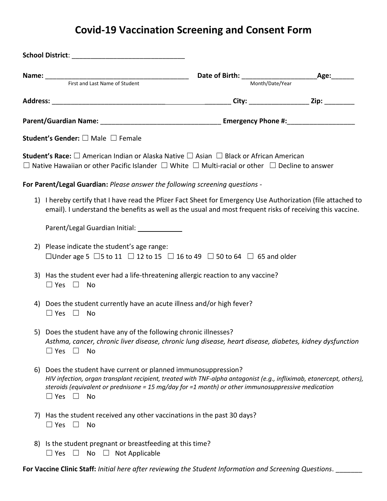## **Covid-19 Vaccination Screening and Consent Form**

|    |                                                                                                                                                                                                                                                                                                                      | Month/Date/Year |  |
|----|----------------------------------------------------------------------------------------------------------------------------------------------------------------------------------------------------------------------------------------------------------------------------------------------------------------------|-----------------|--|
|    |                                                                                                                                                                                                                                                                                                                      |                 |  |
|    |                                                                                                                                                                                                                                                                                                                      |                 |  |
|    | <b>Student's Gender:</b> $\square$ Male $\square$ Female                                                                                                                                                                                                                                                             |                 |  |
|    | <b>Student's Race:</b> $\square$ American Indian or Alaska Native $\square$ Asian $\square$ Black or African American<br>$\Box$ Native Hawaiian or other Pacific Islander $\Box$ White $\Box$ Multi-racial or other $\Box$ Decline to answer                                                                         |                 |  |
|    | For Parent/Legal Guardian: Please answer the following screening questions -                                                                                                                                                                                                                                         |                 |  |
|    | 1) I hereby certify that I have read the Pfizer Fact Sheet for Emergency Use Authorization (file attached to<br>email). I understand the benefits as well as the usual and most frequent risks of receiving this vaccine.                                                                                            |                 |  |
|    | Parent/Legal Guardian Initial: _____________                                                                                                                                                                                                                                                                         |                 |  |
|    | 2) Please indicate the student's age range:<br>□Under age 5 $\Box$ 5 to 11 $\Box$ 12 to 15 $\Box$ 16 to 49 $\Box$ 50 to 64 $\Box$ 65 and older                                                                                                                                                                       |                 |  |
|    | 3) Has the student ever had a life-threatening allergic reaction to any vaccine?<br>$\Box$ Yes $\Box$ No                                                                                                                                                                                                             |                 |  |
|    | 4) Does the student currently have an acute illness and/or high fever?<br>$\Box$ Yes $\Box$ No                                                                                                                                                                                                                       |                 |  |
|    | 5) Does the student have any of the following chronic illnesses?<br>Asthma, cancer, chronic liver disease, chronic lung disease, heart disease, diabetes, kidney dysfunction<br>$\Box$ Yes $\Box$<br>No                                                                                                              |                 |  |
| 6) | Does the student have current or planned immunosuppression?<br>HIV infection, organ transplant recipient, treated with TNF-alpha antagonist (e.g., infliximab, etanercept, others),<br>steroids (equivalent or prednisone = 15 mg/day for =1 month) or other immunosuppressive medication<br>$\Box$ Yes $\Box$<br>No |                 |  |
| 7) | Has the student received any other vaccinations in the past 30 days?<br>$\Box$ Yes $\Box$<br>No                                                                                                                                                                                                                      |                 |  |
|    | 8) Is the student pregnant or breastfeeding at this time?<br>Not Applicable<br>$\Box$ Yes $\Box$<br>No $\Box$                                                                                                                                                                                                        |                 |  |

**For Vaccine Clinic Staff:** *Initial here after reviewing the Student Information and Screening Questions*. \_\_\_\_\_\_\_